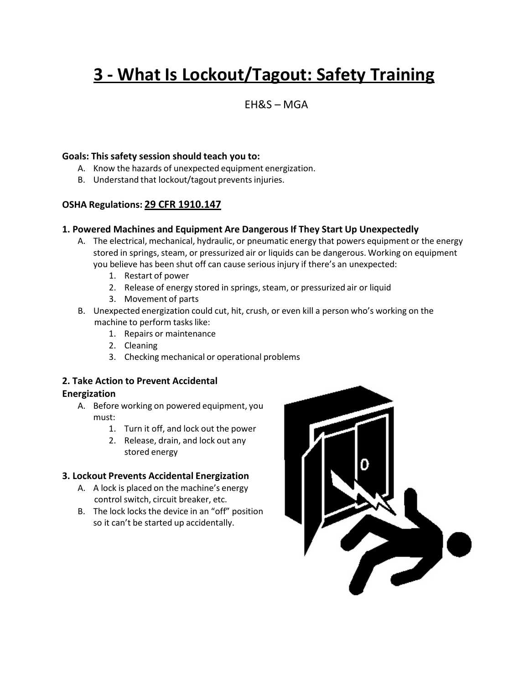# **3 - What Is Lockout/Tagout: Safety Training**

# EH&S – MGA

#### **Goals: This safety session should teach you to:**

- A. Know the hazards of unexpected equipment energization.
- B. Understand that lockout/tagout prevents injuries.

# **OSHA Regulations: 29 CFR 1910.147**

## **1. Powered Machines and Equipment Are Dangerous If They Start Up Unexpectedly**

- A. The electrical, mechanical, hydraulic, or pneumatic energy that powers equipment or the energy stored in springs, steam, or pressurized air or liquids can be dangerous. Working on equipment you believe has been shut off can cause serious injury if there's an unexpected:
	- 1. Restart of power
	- 2. Release of energy stored in springs, steam, or pressurized air or liquid
	- 3. Movement of parts
- B. Unexpected energization could cut, hit, crush, or even kill a person who's working on the machine to perform tasks like:
	- 1. Repairs or maintenance
	- 2. Cleaning
	- 3. Checking mechanical or operational problems

#### **2. Take Action to Prevent Accidental Energization**

- A. Before working on powered equipment, you must:
	- 1. Turn it off, and lock out the power
	- 2. Release, drain, and lock out any stored energy

# **3. Lockout Prevents Accidental Energization**

- A. A lock is placed on the machine's energy control switch, circuit breaker, etc.
- B. The lock locks the device in an "off" position so it can't be started up accidentally.